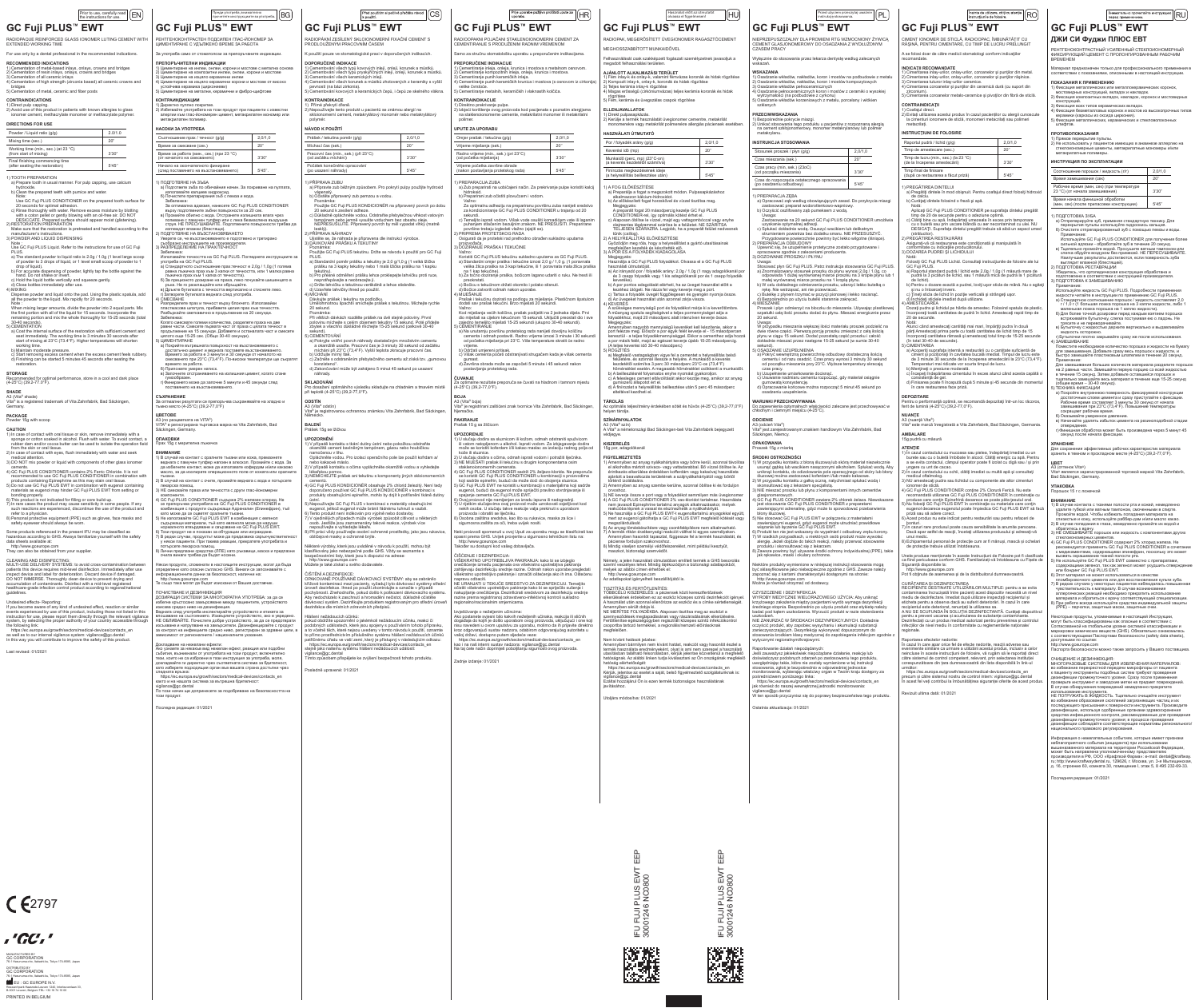|  |  | $\left  \right $ Prior to use, carefully read $\left  \right $ $\mathsf{EN}$<br>the instructions for use. |  |
|--|--|-----------------------------------------------------------------------------------------------------------|--|
|  |  | ` Fuii PI IIS™ FWT                                                                                        |  |

|  | GC Fuji PLUS™ EWT |  |
|--|-------------------|--|
|--|-------------------|--|

| RADIOPAQUE REINFORCED GLASS IONOMER LUTING CEMENT WIT<br>EXTENDED WORKING TIME |
|--------------------------------------------------------------------------------|
| For use only by a dental professional in the recommended indications.          |

**RECOMMENDED INDICATIONS**

| 1) Cementation of metal-based inlays, onlays, crowns and bridges        |  |
|-------------------------------------------------------------------------|--|
| 2) Cementation of resin inlays, onlays, crowns and bridges              |  |
| 3) Cementation of all ceramic inlavs                                    |  |
| 4) Cementation of high strength (zirconia based) all ceramic crowns and |  |

| <b>IRECTIONS FOR USE</b>                                                   |         |
|----------------------------------------------------------------------------|---------|
| Powder / Liquid ratio (g/g)                                                | 2.0/1.0 |
| Mixing time (sec.)                                                         | 20"     |
| Working time (min., sec.) (at 23 °C)<br>(from start of mixing)             | 3'30"   |
| Final finishing commencing time<br>لاستثقبت وغوام والمناف والقوام والمتكار | E1ATE   |

# bridges 5) Cementation of metal, ceramic and fiber posts

**CONTRAINDICATIONS** 1) Direct pulp capping. 2) Avoid use of this product in patients with known allergies to glass ionomer cement, methacrylate monomer or methacrylate polymer.

## **DIRECTIONS FOR USE**

drop of liquid). b) For accurate dispensing of powder, lightly tap the bottle against the hand. Do not shake or invert. c) Hold the liquid bottle vertically and squeeze gently.<br>c) Hold the liquid bottle vertically and squeeze gently.<br>d) Close bottles immediately after use.

Final finishing commencing time (after seating the restoration) 5'45'' 1) TOOTH PREPARATION a) Prepare tooth in usual manner. For pulp capping, use calcium

hydroxide. b) Clean the prepared teeth with pumice and water.

Note: Use GC Fuji PLUS CONDITIONER on the prepared tooth surface for

20 seconds for optimal adhesion.<br>
c) Rinse thoroughly with water. Remove excess moisture by blotting<br>
with a coton pellet or gently blowing with an oil-free air. DO NOT<br>
DESICCATE. Prepared surface should appear moist (gli

a) Coat the internal surface of the restoration with sufficient cement and seat immediately. The working time is 3 minutes 30 seconds after start of mixing at 23°C (73.4°F). Higher temperatures will shorten

manufacturer's instructions. 3) POWDER AND LIQUID DISPENSING

**CAUTION** 1) In case of contact with oral tissue or skin, remove immediately with a<br>sponge or cotton soaked in alcohol. Flush with water. To avoid contact, a<br>rubber dam and/or cocoa butter can be used to isolate the operation field<br>

Note : Use GC Fuji PLUS Liquid. Refer to the instructions for use of GC Fuji

PLUS. a) The standard powder to liquid ratio is 2.0g / 1.0g (1 level large scoop of powder to 3 drops of liquid, or 1 level small scoop of powder to 1

d) Close bottles immediately after use. 4) MIXING Dispense powder and liquid onto the pad. Using the plastic spatula, add all the powder to the liquid. Mix rapidly for 20 seconds.

Note :<br>When mixing larger amounts, divide the powder into 2 equal parts. Mix<br>the first portion with all of the liquid for 15 seconds. Incorporate the<br>remaining portion and mix the whole thoroughly for 15-25 seconds (total<br>

Undesired effects- Reporting:<br>If you become aware of any kind of undesired effect, reaction or similar<br>events experienced by use of this product, including those not listed in this<br>instruction for use, please report them d https://ec.europa.eu/growth/sectors/medical-devices/contacts\_en

working time. b) Maintain moderate pressure. c) Start removing excess cement when the excess cement feels rubbery. d) Finishing can be started 5 minutes 45 seconds after seating the restoration.

**STORAGE**<br>Recommended for optimal performance, store in a cool and dark place<br>(4-25°C) (39.2-77.0°F).

EU : GC EUROPE N.V. Researchpark Haasrode-Leuven 1240, Interleuvenlaan 33, B-3001 Leuven, Belgium TEL: +32 16 74 10 00

**SHADE**

**GC Fuji PLUS™ EWT** Преди употреба, внимателно $_{\rm{n}p}$ отреба.  $\vert$   $\rm{BG}$ 

РЕНТГЕНОКОНТРАСТЕН ПОДСИЛЕН ГЛАС-ИОНОМЕР ЗА<br>ЦИМЕНТИРАНЕ С УДЪЛЖЕНО ВРЕМЕ ЗА РАБОТА  $3$ а употреба само от стоматолози за препоръ

ПРЕПОРЪЧИТЕЛНИ ИНДИКАЦИИ<br>1) Циментиране на инлеи, онлеи, корони и мостове с метална основа<br>2) Циментиране на композитни инлеи, онлеи, корони и мостове<br>3) Циментиране на изцяло керамични корони и мостове от високо<br>4) Цимен

A3 (Vita® shade) Vita® is a registered trademark of Vita Zahnfabrik, Bad Säckingen, Germany.

**PACKAGE** Powder 15g with scoop

1) Директно пулпно покритие.<br>2) Избягвайте употребата на този продукт при пациенти с известни<br>2) алергии към глас-йономерен цимент, метакрилатен мономер или метакрилатен полимер.

medical attention. 3) DO NOT mix powder or liquid with components of other glass ionomer cements. 4) GC Fuji PLUS CONDITIONER contains 2% Ferric Chloride. It is not

recommended to use GC Fuji PLUS CONDITIONER in combination with<br>products containing Epinephrine as this may stain oral tissue.<br>5) Do not use GC Fuji PLUS EWT in combination with eugenol containing<br>materials as eugenol may

bonding properly. 6) This product is not indicated for filling or core build-up. 7) In rare cases the product may cause sensitivity in some people. If any such reactions are experienced, discontinue the use of the product and

–<br>ете прах и течност върху блокчето. Използвайки пластмасова шпатула, прибавете целия прах към течността. Разбъркайте светкавично в продължение на 20 секунди.

Забележка:<br>Когато смесвате големи количества, разделете праха на две<br>равни части. Смесете първата част от праха с цялата течност в<br>продължение на 15 секунди. Добавете и останалата част и смесете<br>цялото още 15-25 сек. (Общ

refer to a physician. 8) Personal protective equipment (PPE) such as gloves, face masks and safety eyewear should always be worn.

Some products referenced in the present IFU may be classified as hazardous according to GHS. Always familiarize yourself with the safety data sheets available at:

риметттитите<br>) Покрийте вътрешната повърхност на възстановява достатъчно цимент и веднага поставете възстановяването. Времето за работа е 3 минути и 30 секунди от началото на смесването при 23°C (73,4°F). По-високи температури ще съкратят

http://www.gceurope.com They can also be obtained from your supplier.

CLEANING AND DISINFECTING:<br>MULTI-USE DELIVERY SYSTEMS: to avoid cross-contamination betwee MULTI-USE DELIVERY SYSTEMS: to avoid cross-contamination between<br>patients this device requires mid-level disinfection. Immediately after use<br>inspect device and label for deterioration. Discard device if damaged.<br>DO NOT IMM

А3 (по разцветката на VITA®) VITA® e регистрирана търговска марка на Vita Zahnfabrik, Bad äckingen, Germany.

**ОПАКОВКИ** –<br>Правителна групиция<br>15 de marzo 15 de marzo 15 de marzo

as well as to our internal vigilance system: vigilance@gc.dental In this way you will contribute to improve the safety of this product.

Last revised: 01/2021

 $C<sub>2797</sub>$ 

MANUFACTURED BY GC CORPORATION

.'GC'

76-1 Hasunuma-cho, Itabashi-ku, Tokyo 174-8585, Japan DISTRIBUTED BY GC CORPORATION 76-1 Hasunuma-cho, Itabashi-ku, Tokyo 174-8585, Japan

PRINTED IN BELGIUM

Докладване на нежелани ефекти:<br>Ако узнаете за някакъв вид нежелан ефект, реакция или подобни<br>събития, възникнали от употребата на този продукт, включително<br>тези, които не са изброени в тази инструкция за употреба, моля, докладвайте ги директно чрез съответната система за бдителност,<br>като изберете подходящия орган във вашата страна достъпни чрез следната връзка: https://ec.europa.eu/growth/sectors/medical-devices/contacts\_en както и на нашата система за вътрешна бдителност:

**DOPORUČENÉ INDIKACE**<br>1) Cementování všech typů kovových inlejí, onlejí, korunek a můstků<br>2) Cementování všech typů pryskyřičných inlejí, onlejí, korunek a mů<br>1.1111 – 1.1111 – 1.1111 – 1.1111 – 1.1111 – 1.1111 – 1.1111 – 1) Cementování všech typů kovových inlejí, onlejí, korunek a můstků.<br>2) Cementování všech typů pryskyřičných inlejí, onlejí, korunek a můstků.<br>3) Cementování všech keramických inlejí.<br>4) Cementování všech korunek a můstků pevností (na bázi zirkonia). 5) Cementování kovových a keramických čepů, i čepů ze skelného vlákna. **KONTRAINDIKACE** 1) Přímé překrytí dřeně. 2) Nepoužívejte tento produkt u pacientů se známou alergií na skloionomerní cement, metakrylátový monomér nebo metakrylátový polymér **NÁVOD K POUŽITÍ**

устойчива керамика (циркониеви) 5) Циментиране на метални, керамични и фибро-щифтове **КОНТРАИНДИКАЦИИ**

**НАСОКИ ЗА УПОТРЕБА**

4) MÍCHÁNÍ Dávkujte prášek i tekutinu na podložku. Umělohmotnou špachtlí smíchejte prášek s tekutinou. Míchejte rychle 0 sekund

| Съотношение прах / течност (g/g)                                                                                                                                                                                                                                                                                                                                                                                                                                                                                                                                     | 2,0/1,0    |  |
|----------------------------------------------------------------------------------------------------------------------------------------------------------------------------------------------------------------------------------------------------------------------------------------------------------------------------------------------------------------------------------------------------------------------------------------------------------------------------------------------------------------------------------------------------------------------|------------|--|
| Време за смесване (сек.)                                                                                                                                                                                                                                                                                                                                                                                                                                                                                                                                             | 20"        |  |
| Време за работа (мин., сек.) (при 23 °С)<br>(от началото на смесването)                                                                                                                                                                                                                                                                                                                                                                                                                                                                                              | 3'30"      |  |
| Начало на окончателното финиране<br>(след поставянето на възстановяването)                                                                                                                                                                                                                                                                                                                                                                                                                                                                                           | $5'45''$ . |  |
| 1) ПОДГОТВЯНЕ НА ЗЪБА<br>а) Подгответе зъба по обичайния начин. За покриване на пулпата,<br>използвайте калциев хидроксид.<br>б) Почистете препарирания зъб с пемза и вода.<br>Забележка:<br>За оптимална адхезия, нанесете GC Fuji PLUS CONDITIONER<br>върху подготвените зъбни повърхности за 20 сек.<br>в) Промийте обилно с вода. Отстранете излишната влага чрез<br>попиване с памучен тупфер или с лека безмаслена въздушна<br>струя. НЕ ПРЕСУШАВАЙТЕ. Подготвените повърхности трябва да<br>изглеждат влажни (блестящи).<br>2) ПОДГОТВЯНЕ НА ВЪЗСТАНОВЯВАНЕТО |            |  |
| Уверете се, че възстановяването е подготвено и третирано<br>съобразно инструкциите на производителя.<br>3) РАЗПРЕДЕЛЕНИЕ НА ПРАХ/ТЕЧНОСТ                                                                                                                                                                                                                                                                                                                                                                                                                             |            |  |
| Забележка:<br>Използвайте течността на GC Fuji PLUS. Погледнете инструкциите за<br>употреба на GC Fuji PLUS.                                                                                                                                                                                                                                                                                                                                                                                                                                                         |            |  |
| а) Стандартното съотношение прах:течност е 2,0g / 1,0g (1 голяма<br>равна лъжичка прах към 3 капки от течността, или 1 малка равна<br><b>STATE OF BUILDING</b>                                                                                                                                                                                                                                                                                                                                                                                                       |            |  |

равна лъжичка прах към 1 капки от течността, или 1 малка равна<br>пъжичка прах към 1 капка от течността).<br>6) За прецизното дозиране на праха, леко почукайте шишенцето в<br>ръка. Не го разклащайте или обръщайте.<br>н) Дотворете бут

**UPOZORNĚNÍ**<br>1) V případě kon<br>okamžitě cem<br>namočenou v 1) V případě kontaktu s tkání dutiny ústní nebo pokožkou odstraňte okamžitě cement bavlněným tampónem, gázou nebo houbičkou **GC Fuji PLUS™ EWT** Prije uporabe pažljivo pročitati upute za

RADIOOPAKNI POJAČANI STAKLENOIONOMERNI CEMENT ZA CEMENTIRANJE S PRODUŽENIM RADNIM VREMENOM .<br>Samo za stručnu stomatološku uporabu u prepo

**PREPORUCENE INDIKACIJE**<br>1) Cementiranje inleja, onleja, krunica i mostova s metalnom osnovom.<br>2) Cementiranje kompozitnih inleja, onleja, krunica i mostova.

времето за работа. б) Приложете умерен натиск. в) Започнете отстраняването на излишния цимент, когато стане гумообразен. г) Финирането може да започне 5 минути и 45 секунди след

поставянето на възстановяването. **СЪХРАНЕНИЕ** За оптмални резултати се препоръчва cъхранявайте на хладно и тъмно място (4-25°C) (39,2-77,0°F) 1) Direktno prekrivanje pulpe. 2) Izbjeći korištenje ovog proizvoda kod pacijenata s poznatim alergijama na staklenoionomerne cemente, metakrilatni monomer ili metakrilatni polimer

**ЦВЕТОВЕ**

**ВНИМАНИЕ** 1) В случай на контакт с оралните тъкани или кожа, премахнете веднага с памучен тупфер напоен в алкохол. Промийте с вода. За да избегнете контакт, може да използвате кофердам и/или какаово

sekunui.<br>·) Tamaliito ienrati vodom. Višak voda osušiti komadićam vata ili laganim c) Temeljito isprati vodom. Višak vode osušiti komadićem vate ili laganim puhanjem stlačenim bezuljnim zrakom. NE PRESUŠITI. Preparirane površine trebaju izgledati vlažno (sjajiti se). 2) PRIPREMA PROTETSKOG RADA

Osigurati da je protetski rad prethodno obrađen sukladno uputama proizvođača. 3) DOZIRANJE PRAŠKA I TEKUĆINE Važno:<br>Koristiti GC Fuji PLUS tekućinu sukladno uputama za GC Fuji PLUS.<br>a) Standardni omjer praška i tekućine iznosi 2,0 g / 1,0 g. (1 poravnata<br>velika žlica praška na 3 kapi tekućine, ili 1 poravnata mala žlica praška

масло, за да изолирате операционното поле от кожата или оралните тъкани. 2) В случай на контакт с очите, промийте веднага с вода и потърсете лекарска помощ.

3) НЕ смесвайте праха или течността с други глас-йономерни

компоненти.<br>4) GC Fuji PLUS CONDITIONER съдържа 2% железен хлорид. Не се препоръчва употребата на GC Fuji PLUS CONDITIONER в<br>се препоръчва употребата на GC Fuji PLUS CONDITIONER в<br>комбинация с продукти съдържащи Адреналин с сдържащи материали, тъй като евгенола може да наруши<br>- нормалното втвърдяване и свързване на GC Fuji PLUS EWT.<br>6) Този продукт не е показан за обтурации или изграждане.<br>7) В редки случаи, продуктът може да предизвика са

Prašak i tekućinu dozirati na podlogu za miješanje. Plastičnom špatulom dodati sav prašak tekućini. Brzo miješati 20 sekundi. Važno:<br>Kod miješanja većih količina, prašak podijeliti na 2 jednaka dijela. Prvi<br>dio miješati sa cijelom tekućinom 15 sekundi. Uključiti preostali dio i sve<br>zajedno temeljito miješati 15-25 sekundi (ukupno 30-40 sekundi).<br>

.<br><sub>I</sub>ovršinu protetskog rada nanijeti dovoljnu količinu cementa i odmah postaviti. Radno vrijeme iznosi 3 minute i 30 sekundi od početka miješanja pri 23°C. Više temperature skratit će radno vrijeme.<br>b) Održati umjereni pritisak.<br>c) Višak cementa početi odstranjivati strugačem kada je višak cementa<br>g) Završna obrada može se započeti 5 minuta i 45 sekundi nakon

zultate preporuča se čuvati na hladnom i tamnom mjestu

1) U slučaju dodira sa sluznicom ili kožom, odmah odstraniti spužvicom<br>ili vatom natopljenom u alkohol. Isprati vodom. Za izbjegavanje dodira<br>može se koristiti koferdam i/ili kakao maslac za izolaciju radnog polja od<br>kože 2) U slučaju dodira s očima, odmah isprati vodom i potražiti liječnika. 3) NE MIJEŠATI prašak ili tekućinu s drugim komponentama osim staklenoionomernih cemenata.<br>4) GC Fuji PLUS CONDITIONER sadrži 2% željezo-klorida. Ne preporuča<br>5) se koristiti GC Fuji PLUS CONDITIONER u kombinaciji s proizvodima<br>koji sadrže epinefini, budući da može doći do obojenja s eugenol, budući da eugenol može spriječiti pravilno stvrdnjavanje ili spajanje cementa GC Fuji PLUS EWT. 6) Ovaj proizvod nije namijenjen za izradu ispuna ili nadogradnji.<br>7) U rijetkim slučajevima ovaj proizvod može uzrokovati osjetljivost kod<br>nekih osoba. U slučaju takve reakcije valja prekinuti s uporabom<br>proizvoda i obrat proizvoda i obratiti se lijecniku.<br>) Osobna zaštitna sredstva, kao što su rukavice, maska za lice i<br>· sigurnosna zaštita za oči, treba uvijek nositi.

потърсете лекарска помощ. 8) Лични предпазни средства (ЛПЕ) като ръкавици, маска и предпазни очила винаги трябва да бъдат носени.

Някои продукти, споменати в настоящите инструкции, могат да бъда определени като опасни съгласно GHS. Винаги се запознавайте с информационните данни за безопасност, налични на: http://www.gceurope.com Те също така могат да бъдат изискани от Вашия доставчик.

ПОЧИСТВАНЕ И ДЕЗИНФЕКЦИЯ<br>103ИРАШИ СИСТЕМИ ЗА МНОГОКРАТНА УПОТРЕБА: за да се

ДОЗИРАЩИ СИСТЕМИ ЗА МНОГОКРАТНА УПОТРЕБА: за да се<br>избегне кръстосано замърсяване между пациентите, устройството<br>взисква средно ниво на дезинфекция.<br>Веднага след употреба инспектирайте устройството и етикета за<br>влошаване

CISCENJE I DEZINFEKCIJA:<br>VIŠEKRATNO UPOTREBLJIVA PAKIRANJA: kako bi se izbjeglo onečišćenje između pacijenata ova višekratno upotrebljiva pakiranja<br>zahtijevaju dezinfekciju srednje razine. Odmah nakon uporabe pregledati<br>višekratno upotrebljivo pakiranje i označiti oštećenja ako ih ima. Oštećenu napravu odbaciti.<br>NE URANJATI U TEKUĆE SREDSTVO ZA DEZINFEKCIJU. Temeljito<br>očistiti višekratno upotrebljivo pakiranje kako bi se spriječilo sušenje i<br>nakupljanje onečišćenja. Dezinficirati sredstvom za dezinfekciju srednje razine prema registriranoj zdravstveno-infektivnoj kontroli sukladno

vigilance@gc.dental По този начин ще допринесете за подобряване на безопасността на този продукт.

Последна редакция: 01/2021

**GC Fuji PLUS™ EWT**

RADIOPÁKNÍ ZESÍLENÝ SKLOIONOMERNÍ FIXAČNÍ CEMENT S

Před použitím si pečlivě přečtěte návod<br>k použití.

.<br>K použití pouze ve stomatologické praxi v doporučených indikacích.

PRODLOUŽENÝM PRACOVNÍM ČASEM

Por / folyadék arány (g/g) 2,0/1,0 Keverési idő (mp) 20'' Munkaidő (perc, mp) (23°C-on) (a keverés kezdetétől számítva) 3'30" Finírozás megkezdésének ideje (a helyreállítás beillesztése után) 5'45''

| Prášek / tekutina poměr (g/g)                                                                                                                       | 2.0/1.0 |
|-----------------------------------------------------------------------------------------------------------------------------------------------------|---------|
| Míchací čas (sek.)                                                                                                                                  | 20"     |
| Pracovní čas (min., sek.) (při 23°C)<br>(od začátku míchání)                                                                                        | 3'30"   |
| Počátek konečného opracování<br>(po usazení náhrady)                                                                                                | 5'45''  |
| 1) PŘÍPRAVA ZUBU<br>a) Připravte zub běžným způsobem. Pro pokrytí pulpy použijte hydroxi<br>vápenatý.<br>b) Očistěte připravený zub pemzou a vodou. |         |

Poznámka: Použijte GC Fuji PLUS KONDICIONÉR na připravený povrch po dobu 20 sekund k zesílení adheze. c) Důkladně opláchněte vodou. Odstraňte přebytečnou vlhkost vatovým tampónem nebo jemně vysušte vzduchem bez obsahu oleje. NEPŘESUŠUJTE. Připravený povrch by měl vypadat vlhký (matně

lesklý). 2) PŘÍPRAVA NÁHRADY Ujistěte se, že náhrada je připravena dle instrukcí výrobce. 3) DÁVKOVÁNÍ PRÁŠKU A TEKUTINY

> FIGYELMEZTETES<br>1) Amennyiben az anyag nyálkahártyára vagy bőrre kerül, azonnal távolítsa<br>el alkoholba mártott szivacs- vagy vattadarabbal. Bő vízzel öblítse le. Az<br>érintkezés elkerülése érdekében kofferdám vagy kakaóvaj ha 2) Amennyiben az anyag szembe kerülne, azonnal öblítse ki és forduljon

> orvoshoz.<br>3) NE keverje össze a port vagy a folyadékot semmilyen más üvegionomer<br>4) A GC Fuji PLUS CONDITIONER 2% vas-kloridot tartalmaz. Használata<br>nem javasolt Epinephrine tartalmú anyagok alkalmazásakor, melyek<br>reakciób

6) Az anyag töméskészítésre vagy csonkfelépítésre nem alkalmazható.<br>7) A termék ritkán érzékenységi reakciót válthat ki egyes személyeken.<br>– Amennyiben hasonlót tapasztal, függessze fel a termék használatát, és<br>– páciense

Poznámka: Použijte GC Fuji PLUS tekutinu. Držte se návodu k použití pro GC Fuji PLUS. a) Standardní poměr prášku a tekutiny je 2,0 g/1,0 g (1 velká lžička prášku na 3 kapky tekutiny nebo 1 malá lžička prášku na 1 kapku tekutiny). b) Pro přesné odměření prášku lehce proklepejte lahvičku proti ruce,

neprotřepávejte a neobracejte ji. c) Držte lahvičku s tekutinou vertikálně a lehce stiskněte. d) Uzavřete lahvičky ihned po použití.

Poznámka: Při větších dávkách rozdělte prášek na dvě stejné poloviny. První polovinu míchejte s celým objemem tekutiny 15 sekund. Poté přidejte zbytek a všechno důkladně míchejte 15-25 sekund (celkově 30-40 sekund).

CEMENTOVÁNÍ a) Pokrylje vnitřní povrch náhrady dostatečným množstvím cementu<br>mochání při 23°C (73,4°F). Mochání při 23°C (73,4°F). Vyšší teplota zkracuje pracovní čas.<br>mochání při 23°C (73,4°F). Vyšší teplota zkracuje pracovní čas.<br>b)

konzistenci". d) Zakončování může být zahájeno 5 minut 45 sekund po usazení náhrady.

**SKLADOVÁNÍ**<br>Pro dosažení optimálního výsledku skladujte na chladném a tmavém místě<br>při teplotě (4-25°C) (39,2-77,0°F).

**ODSTÍN**

A3 (Vita® odstín) nou ochrannou známkou Vita Zahnfabrik, Bad Säckinger Německo. **BALENÍ**

## rášek 15g se lžičkou

namočenou v lihu. Opláchněte vodou. Pro izolaci operačního pole lze použít kofrdam a/ nebo kakaové máslo. 2) V případě kontaktu s očima vypláchněte okamžitě vodou a vyhledejte lékařskou pomoc. 3) NEMÍCHEJTE prášek ani tekutinu s komponenty jiných skloionomerních

cementů. 4) GC Fuji PLUS KONDICIONÉR obsahuje 2% chlorid železitý. Není tedy doporučeno používat GC Fuji PLUS KONDICIONÉR v kombinaci s produkty obsahujícími epinefrin, mohlo by dojít k potřísnění tkáně dutiny ústní.

5) Nepoužívejte GC Fuji PLUS v kombinaci s materiály obsahujícími<br>ougenol, jelikož eugenol může bránit řádnému tuhnutí a vazbě.<br>6) Tento produkt není indíkován pro výplně nebo dostavby.<br>7) V ojedinělých případech může výro

Některé výrobky, které jsou uváděné v návodu k použití, mohou být<br>klasifikovány jako nebezpečné podle GHS. Vždy se seznamte s<br>bezpečnostními listy, které jsou k dispozici na adrese:<br>http://www.gceurope.com<br>Můžete je také z

CISTENI A DEZINFEKCE:<br>OPAKOVANĚ POUŽÍVANÉ DÁVKOVACÍ SYSTÉMY: aby se zabránilo<br>křížové kontaminaci mezi pacienty, vyžadují tyto dávkovací systémy střední<br>úroveň dezirlekce. Ihned po použití zkontrolujte a označte v případě<br> Aby nedocházelo k zaschnutí a hromadění nečistot, důkladně očistěte<br>dávkovací systém. Dezinfikujte produktem registrovaným pro střední úroveň<br>dezinfekce dle místních zdravotních předpisů.

Hlášení nežádoucích účinků:<br>pokud obdržíte upozomění o jakémkoli nežádoucím účinku, reakci či<br>podobných událostech, které jsou spojeny s používáním tohoto přípravku,<br>a to včetně těch, které nejsou uvedeny v tomto návodu k

sekund).<br>5) OSADZANIE UZUPEŁNIENIA<br>a) Pokryć wewnętrzną powierzchnię odbudowy dostateczną ilością<br>cementu i od razu osadzić. Czas pracy wynosi 3 minuty 30 sekund<br>od początku mieszania przy 23°C. Wyższe temperatury skracają czas pracy.

acy.<br>ienie umiarkowanie docisnąć. c) Usuwanie nadmiaru cementu rozpocząć, gdy materiał osiągnie gumowatą konsystencję. d) Opracowanie końcowe można rozpocząć 5 minut 45 sekund po

pści zalecane jest przec chłodnym i ciemnym miejscu (4-25°C).

**ODCIENIE**<br>A3 (odcień Vita®)

A3 (odcień Vita®)<br>Vita® jest zarejestrowanym znakiem handlowym Vita Zahnfabrik, Bad<br>Säckingen, Niemcy.

# iektóre produkty wymienione w niniejszej instrukcji stosowania mogą być sklasyfikowane jako niebezpieczne zgodnie z GHS. Zawsze należy zapoznać się z kartami charakterystyki dostępnymi na stronie: http://www.gceurope.com Można je również otrzymać od dostawcy.

krzyżowego zakażenia między pacjentami wyrób wymaga dezynfekcji<br>średniego stopnia. Bezpośrednio po użyciu produkt oraz etykietę należy<br>badać pod kątem uszkodzenia. Wyrzucić produkt w razie stwierdzenia uszkodzeń. NIE ZANURZAĆ W ŚRODKACH DEZYNFEKCYJNYCH. Dokładnie

oczyścić produkt, aby zapobiec wysychaniu i akumulacji substancji zanieczyszczających. Dezynfekcję wykonywać dopuszczonym do stosowania środkiem klasy medycznej do zapobiegania infekcjom zgodnie z tycznymi regionalnymi/krajowymi.

Tímto způsobem přispějete ke zvýšení bezpečnosti tohoto produktu.

Posledně upravené: 01/2021

Raportowanie działań niepożądanych: Jeśli zauważysz jakiekolwiek niepożądane działanie, reakcję lub doświadczysz podobnych zdarzeń po zastosowaniu tego produktu,<br>uwzględniając takie, które nie zostały wymienione w tej instrukcji<br>stosowania, zgłoś je bezpośrednio w odpowiedniej jednostce<br>monitorowania, wybierając właściwy

3) Cementiranje punih keramičkih inleja. 4) Cementiranje punih keramičkih krunica i mostova (s osnovom iz cirkonija) velike čvrstoće. 5) Cementiranje metalnih, keramičkih i vlaknastih kolčića. **KONTRAINDIKACIJE**

.<br>CIMENT IONOMER DE STICLĂ, RADIOOPAC, ÎMBUNĂTĂTIT CU RĂŞINĂ, PENTRU CIMENTARE, CU TIMP DE LUCRU PRELUNGIT A se folosi doar de către medicii stomatologi conform indicaţiilor

# **UPUTE ZA UPORABU**

1) PREGĂTIREA DINTELUI a) Pregătiţi dintele în mod obişnuit. Pentru coafajul direct folosiţi hidroxid a) Pregătiți de calciu.

| Omier prašak / tekućina (g/g)                                                                                                                                                                                                                                                                                         | 2.0/1.0 |  |
|-----------------------------------------------------------------------------------------------------------------------------------------------------------------------------------------------------------------------------------------------------------------------------------------------------------------------|---------|--|
| Vrijeme miješanja (sek.)                                                                                                                                                                                                                                                                                              | 20"     |  |
| Radno vrijeme (min., sek.) (pri 23°C)<br>(od početka miješanja)                                                                                                                                                                                                                                                       | 3'30"   |  |
| Vrijeme početka završne obrade<br>(nakon postavljanja protetskog rada)                                                                                                                                                                                                                                                | 5'45''  |  |
| 1) PREPARACIJA ZUBA<br>a) Zub preparirati na uobičajeni način. Za prekrivanje pulpe koristiti kalci<br>hidroksid.<br>b) Preparirani zub očistiti plovučcem i vodom.<br>Važno:<br>Za optimalnu adheziju na prepariranu površinu zuba nanijeti sredstvo<br>za kondicioniranje GC Fuji PLUS CONDITIONER u trajanju od 20 |         |  |

Notă: Folosiţi GC Fuji PLUS Lichid. Consultaţi instrucţiunile de folosire ale lui GC Fuji PLUS.<br>a) Raportul standard pudră / lichid este 2,0g / 1,0g (1 măsură mare de pudră la 3 picături de lichid, sau 1 măsură mică de pudră la 1 picătură<br>de lichid).<br>de lichid).<br>b) Pentru o dozare exactă a pudrei, loviț

na 1 kap tekućine). b) Za točno doziranje praška, bočicom lagano udariti o ruku. Ne tresti ili

- şi nu o întoarceţi invers.<br>c) Țineţi sticla de lichid în poziţie verticală și strângeţi uşor.<br>d) Închideţi sticlele imediat după utilizare.<br>4) AMESTECAREA
- 
- Dozaţi pudra şi lichidul pe hârtia de amestec. Folosind spatula de plastic, încorporaţi toată cantitatea de pudră în lichid. Amestecaţi rapid timp de
- 20 de secunde.<br>Notă:<br>Atunci când amestecați cantități mai mari, împărțiți pudra în două<br>părți Amestecați prima parte cu toată cantitatea de lichid timp de 15<br>Încorporați cantitatea rămasă și amestecați totul timp de 15-25
- 5) CIMENTAREA<br>
al Acoperiti suprafața internă a restaurării cu o cantitate suficientă de<br>
al Acoperiti suprafața internă din cavitatea bucală imediat. Timpul de lucru este<br>
de 3 minute 30 secunde de la începerea amestecâni
- 
- consistenţă de gel. d) Finisarea poate fi începută după 5 minute şi 45 secunde din momentul în care restaurarea face priză. **DEPOZITARE**

preokretati. c) Bočicu s tekućinom držati okomito i polako stisnuti. d) Bočice zatvoriti odmah nakon uporabe. 4) MIJEŠANJE

postavljanja protetskog rada.

**ČUVANJE**

**BOJA** A3 (Vita® boja)

Njemačka. **PAKIRANJE** <sup>9</sup>rašak 15 g sa žličicor **UPOZORENJE**

Za optimalne rezultatı<br>(4-25°C) (39,2-77,0°F

## **GC Fuji PLUS™ EWT ДЖИ СИ Фуджи ПЛЮС ЕВТ**  $\sqrt{\frac{\text{Bhuwarenbho npowura\v{a}te \text{uhctpykumo}}{\text{Repeg npwanehewem.}}}}$

РЕНТГЕНОКОНТРАСТНЫЙ УСИЛЕННЫЙ СТЕКЛОЙОНОМЕРНЫЙ<br>ФИКСИРУЮЩИЙ ЦЕМЕНТ С ПРОЛОНГИРОВАННЫМ РАБОЧИМ<br>ВРЕМЕНЕМ

- 1) Фиксация металлических или металлокерамических коронок, мостовидных конструкций, вкладок и накладок. 2) Фиксация композитных вкладок, накладок, коронок и мостовидных
- 
- конструкций.<br>3) Фиксация всех типов керамических вкладок.<br>4) Фиксация безметалловых коронок и мостов из высокопрочных типов<br>5) Фиксация металлических, керамических и стекловолоконных<br>5) Фиксация металлических, керамически
- 

- 1) ПОДГОТОВКА ЗУБА а) Отпрепарируйте зуб, применяя стандартную технику. Для перекрытия пульпы используйте гидроокись кальция. б) Очистите отпрепарированный зуб с помощью пемзы и воды.
- Примечание: Используйте GC Fuji PLUS CONDITIONER для получения более
- сильной адгезии обработайте зуб в течение 20 секунд.<br>в) Тщательно промойте водой. Просушите ватным тампоном или<br>слегка обдуйте воздухом без примесей. НЕ ПЕРЕСУШИВАЙТЕ.<br>Наилучшие результаты достигаются, если поверхность

Neki proizvodi spomenuti u ovoj Uputi za uporabu mogu se klasificirati kao opasni prema GHS. Uvijek provjerite u sigurnosno tehničkom listu na:

Izvješćivanje o neželjenim učincima:<br>Ako postanete svjesni bilo kakvih neželjenih učinaka, reakcija ili sličnih<br>događaja do kojih je došlo uporabom ovog proizvoda, uključujući i one koji<br>nisu navedeni u ovom uputstvu za up

vašoj državi, dostupno putem sljedeće veze:<br>- https://ec.europa.eu/growth/sectors/medical-devices/contacts\_en<br>kao i na naš interni sustav nadzora: vigilance@gc.dental<br>Na taj ćete način doprinijeti poboljšanju sigurnosti ov

http://www.gceurope.com Također su dostupni kod vašeg dobavljača.

regionalno/nacionalnim smjernicama.

- 
- 
- Примечание:<br>
«Примечание: SC Fuji PLUS. Подробности применения<br>
жидкости читайте в инструкции по применению GC Fuji PLUS.<br>
а) Стандартное соотношение порошок / жидкость составляет 2,0<br>  $\int f(1,0) f(1)$  большая ложка порошка
- жидкость осторожно. г)Бутылочки плотно закрывайте сразу же после использования.
- 4) ЗАМЕШИВАНИЕ Поместите необходимое количество порошка и жидкости на бумагу для замешивания. Добавьте сразу весь порошок к жидкости, и быстро замешайте пластиковым шпателем в течение 20 секунд.
- Примечание: Для замешивания больших количеств материала разделите порошок
- на 2 равных части. Замешайте первую порцию со всей жидкостью<br>в течение 15 секунд. Затем добавьте оставшийся порошок и<br>тщательно замешайте весь материал в течение еще 15-25 секунд<br>FUC общее время 30-40 секунд).<br>5) ТЕХНИ
- сокращает рабочее время. б) Оказывайте умеренное давление. в) Начинайте удалять избыток цемента на резиноподобной стадии отверждения.

**УПАКОВКА** . .........<br>рошок 15 г с ложечкоі

**ЦВЕТ**<br>А3 (оттенок Vita®)

Zadnje izdanje: 01/2021

zaštićeni znak tvornice Vita Zahnfabrik, Bad Säckingen

**GC Fuji PLUS™ EWT**

RADIOPAK, MEGERŐSÍTETT ÜVEGIONOMER RAGASZTÓCEMENT

Használat előtt az útmutatót | HU<br>olvassa el figyelmesen! | HU

MEGHOSSZABBÍTOTT MUNKAIDŐVEL

Felhasználását csak szakképzett fogászati személyzetnek javasoljuk a megadott felhasználási területen.

AJANLOTT ALKALMAZASI TERULET<br>1) Fém inlay-k és onlay-k, valamint fémvázas koronák és hidak rögzítése<br>2) Kompozit inlay-k, onlay-k, koronák és hidak rögzítése<br>3) Teljes kerámia inlay-k rögzítése<br>4) Magas erősségű (cirkónium

Некоторые продукты, упоминаемые в настоящей Инструкции,<br>могут быть классифицированы как опасные в соответствии с<br>Согласованной на глобальном уровне системой классификации и<br>маркировки химических веществ (GHS). Обязательно с соответствующими Паспортами безопасности (safety data sheets),

, МЕДЕЛИЕ И ДЕСИЛОЕКЦИИ.<br>ИНОГОРАЗОВЫЕ СИСТЕМЫ ДЛЯ ИЗВЛЕЧЕНИЯ МАТЕРИАЛОВ: во избежание перекрестной передачи микрофлоры от пациента к пациенту инструменты подобных систем требуют проведения дезинфекции промежуточного уровня. Сразу после применения<br>проверьте инструмент и заводские метки на предмет повреждений.<br>В случае обнаружения повреждений немедленно прекратите іспользование инструмента.<br>ІЕ ПОГРУЖАТЬ В ЖИДКОСТЬ. Тщательно очищайте инструмен

НЕ ПОГРУЖАТЬ В ЖИДКОСТЬ. Тщательно очищайте инструмент<br>во избежание образования скоплений загрязняющих частиц и их<br>последующего присыхания к поверхности инструмента. Производите<br>дезинфекцию, используя одобренные органами

rögzítése 5) Fém, kerámia és üvegszálas csapok rögzítése

**ELLENJAVALLATOK**

1) Direkt pulpasapkázás. 2) Kerülje a termék használatát üvegionomer cementre, metakrilát monomerekre vagy metakrilát polimerekre allergiás páciensek esetében.

**HASZNÁLATI ÚTMUTATÓ**

1) A FOG ELŐKÉSZÍTÉSE a) Preparálja a fogat a megszokott módon. Pulpasapkázáshoz alkalmazzon kálcium-hidroxidot. b) Az előkészített fogat horzskővel és vízzel tisztítsa meg.

Megjegyzés:<br>A preparált fogat 20 másodpercig kezelje GC Fuji PLUS<br>CONDITIONER-rel, így optimális kötést érhet el.<br>c) Alaposan öblítse le vízzel, majd egy vattagombóccal vagy enyhe<br>olajmentes légárammal szárítsa le a felüle

tűnik (csillog). 2) A HELYREÁLLÍTÁS ELŐKÉSZÍTÉSE

RÖGZÍTÉS<br>a) Megfelelő vastag<br>felületére. és azc

Győződjön meg róla, hogy a helyreállítást a gyártó utasításainak megfelelően kezelték és készítették elő.

3) A POR ÉS A FOLYADÉK KIADAGOLÁSA

Megjegyzés: Használja a GC Fuji PLUS folyadékot. Olvassa el a GC Fuji PLUS használati útmutatóját. a) Az irányadó por / folyadék arány: 2,0g / 1,0g (1 nagy adagolókanál por

és 3 csepp folyadék vagy 1 kis adagolókanál por és 1 csepp folyadék vegy 1 kis adagolását elérheti, ha az üveget használat előtt a<br>b) A por pontos adagolását elérheti, ha az üveget használat előtt a<br>kezéhez ütögeti. Ne ráz

A szükséges mennyiségű port és folyadékot mérje ki a keverőtömbre. A műanyag spatula segítségével a teljes pormennyiséget adja a folyadékhoz, majd 20 másodperc alatt intenzíven keverje össze.

Megjegyzés:<br>Amennyiben nagyobb mennyiségű keveréket kell készítenie, akkor a<br>port felezze meg. Először a por egyik felét keverje el - 15 másodpercen<br>keresztül - a teljes folyadékmennyiséggel. Ekkor a cementhez adja hozzá<br>a

a) Megfelelő vastagaságban vigye fel a cementet a helyreállítás belső<br>felületére, és azonnal illessze a helyére. A munkaidő a keverés<br>kezdetétől számítva 3 perc 30 másodperc 23°C-os (73,4°F)<br>hőmérséklet esetén. A magasabb

d) A finírozást a helyreállítás beillesztése után 5 perc 45 másodperc elteltével kezdheti el.

**TÁROLÁS**

helyen tárolja. **SZÍNÁRNYALATOK**

A3 (Vita® szín) A Vita® a németországi Bad Säckingen-beli Vita Zahnfabrik bejegyzett védjegye.

**KISZERELÉS** 15g por, adagolókanál

Némely, a jelen használati útmutatóban említett termék a GHS besorolás szerint veszélyes lehet. Mindig tájékozódjon a biztonsági adatlapokból,

TISZTITAS ES FERTOTLENITES:<br>TÖBBCÉLÚ KISZERELÉS: a páciensek közti keresztfertőzések<br>elkerülésének érdekében ez az eszköz közepes szintű dezinfekciót igényel.<br>A használat után azonnal ellenőrizze az eszköz és a címke sérte

Amennyiben sérült dobja ki.<br>NE MERTSE FOLYADÉKBA. Alaposan tisztítsa meg az eszközt a<br>szennyeződések megtapadásának vagy rászáradásának elkerülésére.<br>Fertőtlenítse egészségügyben regisztrált közepes szintű infekciókontrol<br>

Nem kívánt hatások jelzése:<br>Amennyiben bármilyen nem kívánt hatást, reakciót vagy hasonlót észlel a<br>termék használata eredményeként, olyat is ami nem szerepel a használati<br>utasításban található felsorolásban, kérjúk jelent

hatóság elérhetőségét:<br>https://ec.europa.eu/growth/sectors/medical-devices/contacts\_en<br>htérjük, jelentse az esetet a saját, belső figyelmeztető szolgálatunknak is:<br>kzáltal hozzájárul Ön is ezen termék biztonságos használat

melyek az alábbi címen érhetőek el: http://www.gceurope.com Az adatlapokat igényelheti beszállítójától is.

Utoljára módosítva: 01/2021

# **GC Fuji PLUS™ EWT**

NIEPRZEPUSZCZALNY DLA PROMIENI RTG WZMOCNIONY ŻYWICĄ CEMENT GLASJONOMEROWY DO OSADZANIA Z WYDŁUŻONYM CZASEM PRACY Wyłącznie do stosowania przez lekarza dentystę według zalecanych

## wskazań.

**WSKAZANIA** 1) Osadzanie wkładów, nakładów, koron i mostów na podbudowie z metalu 2) Osadzanie wkładów, nakładów, koron i mostów kompozytowych<br>3) Osadzanie wkładów pełnoceramicznych<br>4) Osadzanie pełnoceramicznych koron i mostów z ceramiki o wysokiej<br>– wytrzymatości (na podbudowie z cyrkonu)<br>5) Osadzanie szklanych

## **PRZECIWWSKAZANI**

1) Bezpośrednie pokrycie miazgi. 2) Unikać stosowania tego produktu u pacjentów z rozpoznaną alergią na cement szkłojonomerowy, monomer metakrylanowy lub polimer metakrylanu.

## **INSTRUKCHA STO**

| Stosunek proszek / płyn (g/g)                                           | 2.0/1.0 |
|-------------------------------------------------------------------------|---------|
| Czas mieszania (sek.)                                                   | 20'     |
| Czas pracy (min, sek.) (23oC)<br>(od początku mieszania)                | 3'30"   |
| Czas do rozpoczęcia ostatecznego opracowania<br>(po osadzeniu odbudowy) | 5'45''  |

1) PREPARACJA ZĘBA a) Opracować ząb według obowiązujących zasad. Do przykrycia miazgi zastosować preparat wodorotlenkowo-wapniowy.

b) Oczyścić oszlifowany ząb pumeksem z wodą. Uwaga:

Zastosowanie na 20 sekund GC Fuji PLUS CONDITIONER umożliwia<br>czyskanie optymalnej adnezji.<br>c) Splukać dokładnie wodą. Osuszyć wacikiem lub delikatnym<br>strumieniem powietzza bez dodatku smaru. NIE PRZESUSZYĆ.<br>Przygotowane po opracowane zgodnie z zaleceniami producenta.<br>ODZOWANIE PROSZKU I PŁYNU

3) DOZOWANIE PROSZKU I PŁYNU<br>
Uwaga:<br>
Słosować płyn GC Fuji PLUS. Patrz instrukcja stosowania GC Fuji PLUS.<br>
Słosować płyn GC Fuji PLUS. Patrz instrukcja stosowania GC Fuji PLUS.<br>
2) Znormalizowany stosunek proszku na 1 kr

Proszek i płyn odmierzyć na bloczku do mieszania. Używając plastikowej szpatułki całą ilość proszku dodać do płynu. Mieszać energicznie przez

20 sekund.<br>Uwaga:<br>W przypadku mieszania większej ilości materiału proszek podzielić na<br>W przypadku mieszania większę prosztku zmieszać z całą ilością<br>płynu w ciągu 15 sekund. Dodać pozostałą część prosztw i całość<br>dokładni

osadzeniu uzupełnienia. **WARUNKI PRZECHOWYWANIA**

## **OPAKOWANIA** Proszek 15g z miarką

SRODKI OSTROZNOSCI<br>1) W przypadku kontaktu z błoną śluzową lub skórą materiał niezwłocznie<br>1) w przypadku kontaktu z błoną śluzową i alkoholem. Spłukać wodą. Aby<br>1) uniknąć kontaktu, do odizolowania pola operacyjnego od sk

glasjonomerowych. 4) GC Fuji PLUS CONDITIONER zawiera 2% chlorek żelaza. Niewskazane jest stosowanie GC Fuji PLUS CONDITIONER z preparatami zawierającymi adrenalinę, gdyż może to spowodować przebarwienia

blony śluzowej.<br>5) Nie stosować GC Fuji PLUS EWT w połączeniu z materiałami zawierającymi eugenol, gdyż eugenol może utrudniać prawidłowe<br>19) wiązanie lub łączenie GC Fuji PLUS EWT.<br>6) Produkt ten nie jest wskazany do wype

produktu i skonsultować się z lekarzem. 8) Zawsze powinny być używane środki ochrony indywidualnej (PPE), takie jak rękawice, maski i okulary ochronne.

CZYSZCZENIE I DEZYNFEKCJA WYROBY MEDYCZNE WIELORAZOWEGO UŻYCIA: Aby uniknąć

vigilance@gc.dental W ten sposób przyczynisz się do poprawy bezpieczeństwa tego produktu.

Ostatnia aktualizacja: 01/2021

 $\fbox{inainte de utilizare, citiți cu atentie}\n\fbox{R0}$ 

# **GC Fuji PLUS™ EWT**

### recomandate. **INDICAŢII RECOMANDATE**

1) Cimentarea inlay-urilor, onlay-urilor, coroanelor şi punţilor din metal. 2) Cimentarea inlay-urilor, onlay-urilor, coroanelor şi punţilor răşinice. 3) Cimentarea tuturor inlay-urilor ceramice. 4) Cimentarea coroanelor şi punţilor din ceramică dură (cu suport din zirconium). 5) Cimentarea coroanelor metalo-ceramice şi pivoţilor din fibră de sticlă.

## **CONTRAINDICATII**

1) Coafajul direct. 2) Evitați utilizarea acestui produs în cazul pacienților cu alergii cunoscute la cimenturi ionomere de sticlă, monomeri metacrilați sau polimeri metacrilați.

### **INSTRUCŢIUNI DE FOLOSIRE**

| Raportul pudră / lichid (g/g)                                          | 2,0/1,0 |
|------------------------------------------------------------------------|---------|
| Timp de amestecare (sec.)                                              | 20"     |
| Timp de lucru (min., sec.) (la 23 °C)<br>(de la începerea amestecării) | 3'30"   |
| Timp final de finisare<br>(după ce restaurarea a făcut priză)          | 5'45''  |

b) Curăţaţi dintele folosind o freză şi apă.

Notă:<br>Aplicați GC Fuji PLUS CONDITIONER pe suprafața dintelui pregătit<br>Aplicați GC Fuji PLUS CONDITIONER pe suprafața dintelui pregătit<br>c) Clătiți bine cu apă. Îndepărtați umezeala în exces prin tamponare<br>cu o buletă sau p

(strălucitor). 2) PREGĂTIREA RESTAURĂRII

Asiguraţi-vă că restaurarea este condiţionată şi manipulată în conformitate cu indicaţiile producătorului.

## 3) DOZAREA PUDREI ŞI LICHIDULUI

Pentru o performanţă optimă, se recomandă depozitaţi într-un loc răcoros, ferit de lumină (4-25°C) (39,2-77,0°F). **NUANŢE** A3 (nuanţă Vita®)

Vita® este marcă înregistrată a Vita Zahnfabrik, Bad Säckingen, Germania. **AMBALARE**

## 15g pudră cu măsură

- **ATENŢIE** 1) În cazul contactului cu mucoasa sau pielea, îndepărtaţi imediat cu un burete sau cu o buletă îmbibate în alcool. Clătiţi energic cu apă. Pentru a se evita contactul, câmpul operator poate fi izolat cu digă sau / şi prin ungere cu unt de cacao. 2) În cazul contactului cu ochii, clătiţi imediat cu multă apă şi consultaţi
- medicul oftalmolog. 3) NU amestecaţi pudra sau lichidul cu componente ale altor cimenturi ionomer de stidã.<br>A) GC Fuji PLUS CONDITIONER contine 2% Clorurã Fericã. Nu este en comandată utilizarea GC Fuji PLUS CONDITIONER în combinație cu<br>produse care contin Epinefrină deoarece se poate păta țesutul oral.<br>5) Nu f
- priză sau să adere corect. 6) Acest produs nu este indicat pentru restaurări sau pentru refaceri de
- bonturi.<br>7) În cazuri rare produsul poate cauza sensibilitate la anumite persoane.<br>Dacă apar astfel de reacții, încetați utilizarea produsului și adresați-vă<br>unui medic.
- unui meuic.<br>) Echipamentul personal de protecție cum ar fi mănuși, mască și ochelari de protecție trebuie utilizat întotdeauna
- Unele produse menționate în aceste Instrucțiuni de Folosire pot fi clasificate ca fiind periculoase conform GHS. Familiarizați-vă întotdeauna cu Fișele de Siguranță disponibile la:
- http://www.gceurope.com Pot fi obţinute de asemenea şi de la distribuitorul dumneavoastră.

CURĂȚAREA ȘI DEZINFECTAREA RECIPIENTE DESTINATE UTILIZĂRILOR MULTIPLE: pentru a se evita contaminarea încrucișată între pacienți acest dispozitiv necesită un nivel mediu de dezinfectare. Imediat după utilizare inspectați recipientul și eticheta pentru a observa dacă au suferit deteriorări. În cazul în care

recipientul este deteriorat, renunțați la utilizarea sa.<br>A NU SE SCUFUNDA ÎN SOLUȚIA DEZINFECTANTĂ. Curățați dispozitivul<br>pentru a preveni uscarea și acumularea de substanțe contaminante.<br>Dezinfectați cu un produs medical

Raportarea efectelor nedorite:<br>in cazul în care apar orice fel de efecte nedorite, reacții adverse sau<br>evenimente similare ca urmare a utilizării acestui produs, inclusiv a celor<br>neincluse în aceste instrucțiuni de folosir or.<br>is://ec.europa.eu/growth/sectors/medical-devices/contacts\_en\_

precum și către sistemul nostru de control intern: vigilance@gc.dental În acest fel veți contribui la îmbunătățirea siguranței oferite de acest produs. Revizuit ultima dată: 01/2021

Материал предназначен только для профессионального применения в соответствии c показаниями, описанными в настоящей инструкции.

## **ПОКАЗАНИЯ К ПРИМЕНЕНИЮ**

### **ПРОТИВОПОКАЗАНИЯ** 1) Прямое перекрытие пульпы.

| 2) Не использовать у пациентов имеющих в анамнезе аллергию на |
|---------------------------------------------------------------|
| стеклоиономерные цементы, метакрилатные мономеры и/или        |
| метакрилатные полимеры.                                       |

**ИНСТРУКЦИЯ ПО ЭКСПЛУАТАЦИИ**

| Соотношение порошок / жидкость (г/г)                                        | 2.0/1.0 |
|-----------------------------------------------------------------------------|---------|
| Время замешивания (сек)                                                     | 20"     |
| Рабочее время (мин, сек) (при температуре<br>23 °C) (от начала замешивания) | 3'30"   |
| Brown unuano mwwwwazi obnoboziny                                            |         |

# Время начала финишной обработки (мин, сек) (после припасовки конструкции) 5'45''

# выглядит влажной (блестящей). 2) ПОДГОТОВКА РЕСТАВРАЦИИ Убедитесь, что ортопедическая конструкция обработана и подготовлена в соответствии с инструкцией производителя. 3) ПОДГОТОВКА К ЗАМЕШИВАНИЮ

секунд после начала фиксации.

**ХРАНЕНИЕ**

Для сохранения эффективных рабочих характеристик материала xранить в темном и прохладном месте (4-25°C) (39,2-77,0°F).

A3 (оттенок Vita®)<br>Vita® является зарегистрированной торговой маркой Vita Zahnfabrik,<br>Bad Säckingen, Germany.

ВНИМАНИЕ контакта с тканями полости рта и кожей, немедленно 1) в случае контакта с тканями полости рта и кожей, немедленно удалите губкой или ватным тампоном, смоченными в спирте.<br>Промойте водой. Чтобы избежать попадания

обратитесь к врачу. 3) НЕ СМЕШИВАЙТЕ порошок или жидкость с компонентами других стеклоиономерных цементов. 4) GC Fuji PLUS CONDITIONER содержит 2% хлорид железа. Не рекомендуется применять GC Fuji PLUS CONDITIONER в сочетании с медикаментами, содержащими эпинефрин, поскольку это может

вызвать окрашивание тканей полости рта. 5) Не используйте GC Fuji PLUS EWT совместно с препаратами, содержащими эвгенол, так как эвгенол может ухудшить отверждение или бондинг GC Fuji PLUS EWT.

6) Этот материал не может использоваться в качестве<br>– пломбировочного цемента или для восстановления культи зуба.<br>– 7) В редких случаях у некоторых пациентов наблюдалась повышенная<br>– чувствительность к материалу. В случае

доступными по ссылке: http://www.gceurope.com

ОЧИЩЕНИЕ И ДЕЗИНФЕКЦИЯ:

национального правового регулирования.

Информация о нежелательных событиях, которые имеют признаки неблагоприятного события (инцидента) при использовании вышеназванного материала на территории Российской Федерации, может быть направлена уполномоченному представителю производителя в РФ, ООО «Крафтвэй Фарма»: e-mail: dental@kraftway. ru; http://www.kraftwaydental.ru, 129626, г. Москва, ул. 3-я Мытищинская, д. 16, строение 60, комната 30, помещение I, этаж 5, 8 495 232-69-33.

.......<br>ости можно также запросить у Вашего

Последняя редакция: 01/2021

кдения.<br>ная обработка может быть произведена через 5 минут 45

IFU FUJI PLUS EWT EEP 30001246 NC0800

IFU FUJI PLUS EWT<br>30001246 NC0800

▓▓

EEP

IFU FUJI PLUS EWT EEP 30001246 NC0800

IFU FUJI PLUS EWT<br>30001246 NC0800

**Designation** 

EEP

teljesítmény érdekében sötét és hűvös (4-25°C) (39,2-77,0°F)